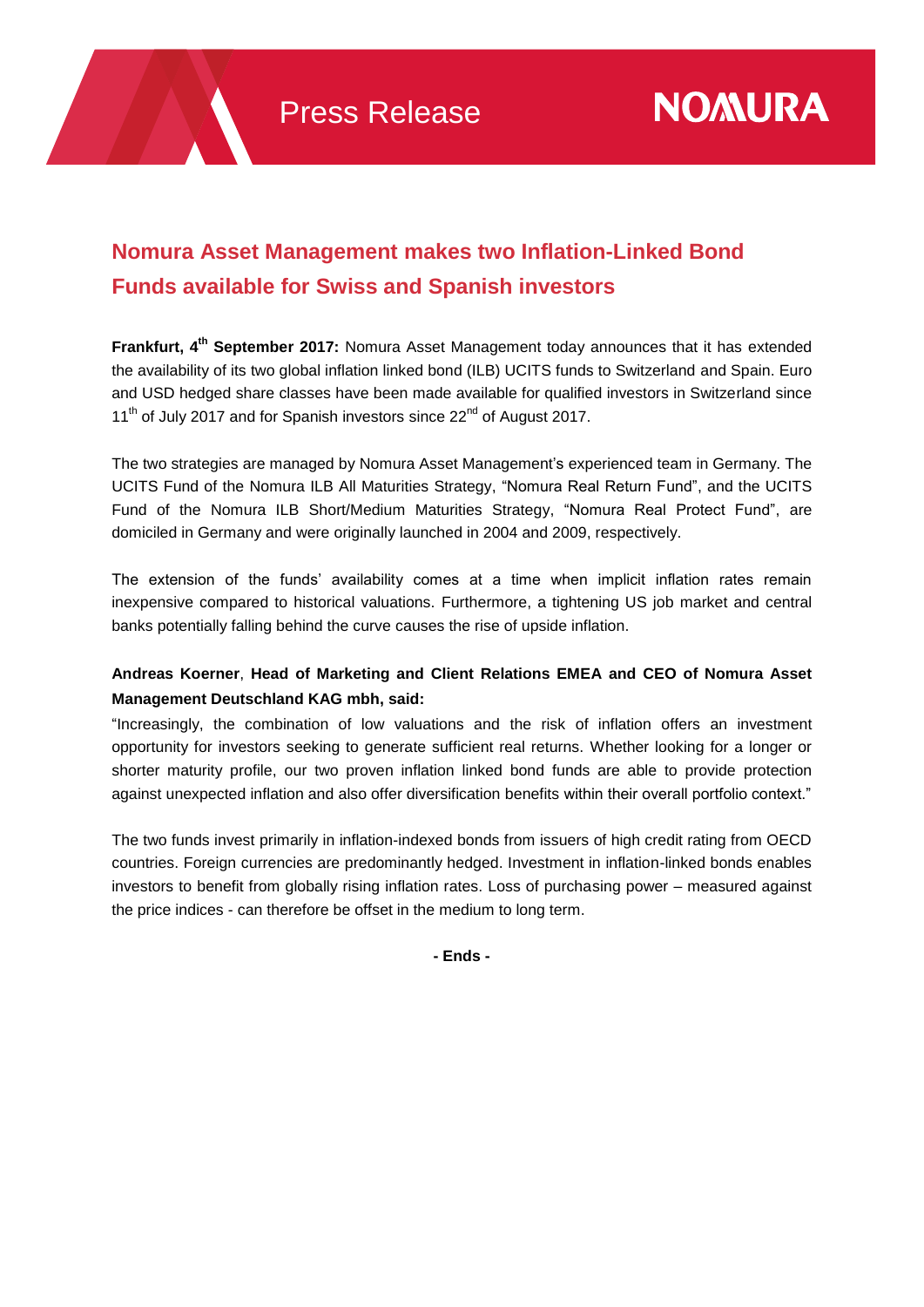## **Nomura Asset Management makes two Inflation-Linked Bond Funds available for Swiss and Spanish investors**

**Frankfurt, 4 th September 2017:** Nomura Asset Management today announces that it has extended the availability of its two global inflation linked bond (ILB) UCITS funds to Switzerland and Spain. Euro and USD hedged share classes have been made available for qualified investors in Switzerland since 11<sup>th</sup> of July 2017 and for Spanish investors since 22<sup>nd</sup> of August 2017.

The two strategies are managed by Nomura Asset Management's experienced team in Germany. The UCITS Fund of the Nomura ILB All Maturities Strategy, "Nomura Real Return Fund", and the UCITS Fund of the Nomura ILB Short/Medium Maturities Strategy, "Nomura Real Protect Fund", are domiciled in Germany and were originally launched in 2004 and 2009, respectively.

The extension of the funds' availability comes at a time when implicit inflation rates remain inexpensive compared to historical valuations. Furthermore, a tightening US job market and central banks potentially falling behind the curve causes the rise of upside inflation.

## **Andreas Koerner**, **Head of Marketing and Client Relations EMEA and CEO of Nomura Asset Management Deutschland KAG mbh, said:**

"Increasingly, the combination of low valuations and the risk of inflation offers an investment opportunity for investors seeking to generate sufficient real returns. Whether looking for a longer or shorter maturity profile, our two proven inflation linked bond funds are able to provide protection against unexpected inflation and also offer diversification benefits within their overall portfolio context."

The two funds invest primarily in inflation-indexed bonds from issuers of high credit rating from OECD countries. Foreign currencies are predominantly hedged. Investment in inflation-linked bonds enables investors to benefit from globally rising inflation rates. Loss of purchasing power – measured against the price indices - can therefore be offset in the medium to long term.

**- Ends -**